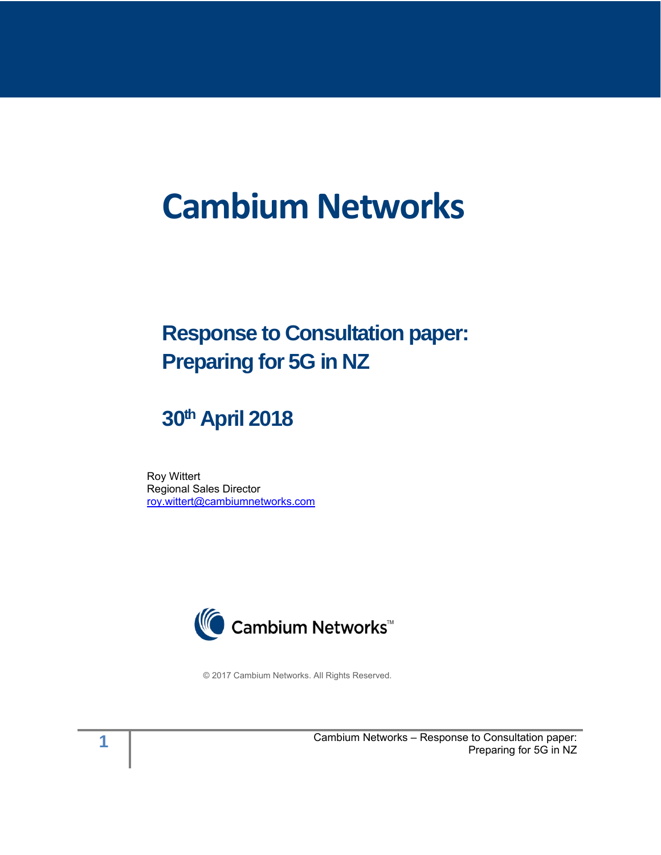# **Cambium Networks**

# **Response to Consultation paper: Preparing for 5G in NZ**

# **30th April 2018**

Roy Wittert Regional Sales Director [roy.wittert@cambiumnetworks.com](mailto:roy.wittert@cambiumnetworks.com)



© 2017 Cambium Networks. All Rights Reserved.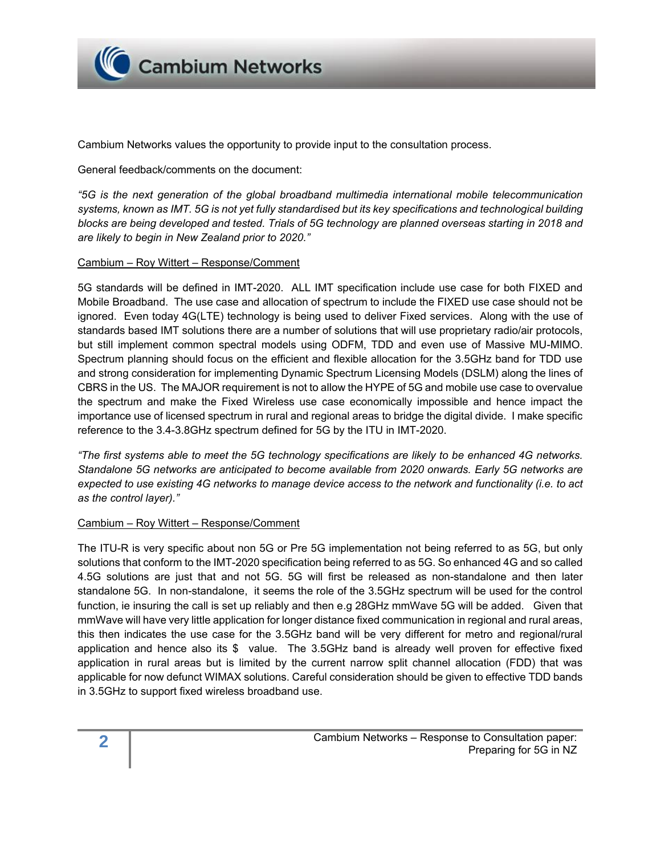

Cambium Networks values the opportunity to provide input to the consultation process.

General feedback/comments on the document:

*"5G is the next generation of the global broadband multimedia international mobile telecommunication systems, known as IMT. 5G is not yet fully standardised but its key specifications and technological building blocks are being developed and tested. Trials of 5G technology are planned overseas starting in 2018 and are likely to begin in New Zealand prior to 2020."*

#### Cambium – Roy Wittert – Response/Comment

5G standards will be defined in IMT-2020. ALL IMT specification include use case for both FIXED and Mobile Broadband. The use case and allocation of spectrum to include the FIXED use case should not be ignored. Even today 4G(LTE) technology is being used to deliver Fixed services. Along with the use of standards based IMT solutions there are a number of solutions that will use proprietary radio/air protocols, but still implement common spectral models using ODFM, TDD and even use of Massive MU-MIMO. Spectrum planning should focus on the efficient and flexible allocation for the 3.5GHz band for TDD use and strong consideration for implementing Dynamic Spectrum Licensing Models (DSLM) along the lines of CBRS in the US. The MAJOR requirement is not to allow the HYPE of 5G and mobile use case to overvalue the spectrum and make the Fixed Wireless use case economically impossible and hence impact the importance use of licensed spectrum in rural and regional areas to bridge the digital divide. I make specific reference to the 3.4-3.8GHz spectrum defined for 5G by the ITU in IMT-2020.

*"The first systems able to meet the 5G technology specifications are likely to be enhanced 4G networks. Standalone 5G networks are anticipated to become available from 2020 onwards. Early 5G networks are expected to use existing 4G networks to manage device access to the network and functionality (i.e. to act as the control layer)."*

#### Cambium – Roy Wittert – Response/Comment

The ITU-R is very specific about non 5G or Pre 5G implementation not being referred to as 5G, but only solutions that conform to the IMT-2020 specification being referred to as 5G. So enhanced 4G and so called 4.5G solutions are just that and not 5G. 5G will first be released as non-standalone and then later standalone 5G. In non-standalone, it seems the role of the 3.5GHz spectrum will be used for the control function, ie insuring the call is set up reliably and then e.g 28GHz mmWave 5G will be added. Given that mmWave will have very little application for longer distance fixed communication in regional and rural areas, this then indicates the use case for the 3.5GHz band will be very different for metro and regional/rural application and hence also its \$ value. The 3.5GHz band is already well proven for effective fixed application in rural areas but is limited by the current narrow split channel allocation (FDD) that was applicable for now defunct WIMAX solutions. Careful consideration should be given to effective TDD bands in 3.5GHz to support fixed wireless broadband use.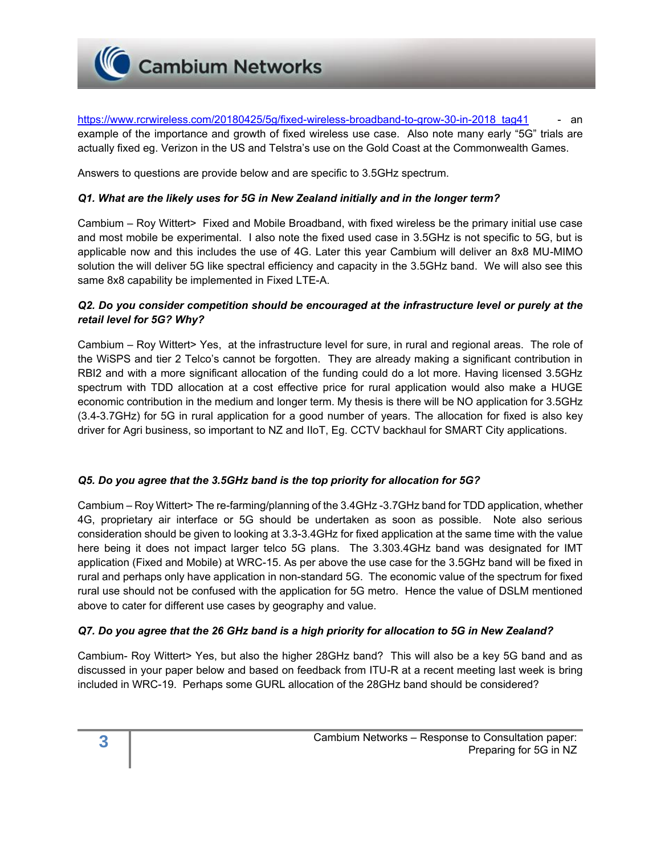

https://www.rcrwireless.com/20180425/5g/fixed-wireless-broadband-to-grow-30-in-2018 tag41 - an example of the importance and growth of fixed wireless use case. Also note many early "5G" trials are actually fixed eg. Verizon in the US and Telstra's use on the Gold Coast at the Commonwealth Games.

Answers to questions are provide below and are specific to 3.5GHz spectrum.

### *Q1. What are the likely uses for 5G in New Zealand initially and in the longer term?*

Cambium – Roy Wittert> Fixed and Mobile Broadband, with fixed wireless be the primary initial use case and most mobile be experimental. I also note the fixed used case in 3.5GHz is not specific to 5G, but is applicable now and this includes the use of 4G. Later this year Cambium will deliver an 8x8 MU-MIMO solution the will deliver 5G like spectral efficiency and capacity in the 3.5GHz band. We will also see this same 8x8 capability be implemented in Fixed LTE-A.

# *Q2. Do you consider competition should be encouraged at the infrastructure level or purely at the retail level for 5G? Why?*

Cambium – Roy Wittert> Yes, at the infrastructure level for sure, in rural and regional areas. The role of the WiSPS and tier 2 Telco's cannot be forgotten. They are already making a significant contribution in RBI2 and with a more significant allocation of the funding could do a lot more. Having licensed 3.5GHz spectrum with TDD allocation at a cost effective price for rural application would also make a HUGE economic contribution in the medium and longer term. My thesis is there will be NO application for 3.5GHz (3.4-3.7GHz) for 5G in rural application for a good number of years. The allocation for fixed is also key driver for Agri business, so important to NZ and IIoT, Eg. CCTV backhaul for SMART City applications.

### *Q5. Do you agree that the 3.5GHz band is the top priority for allocation for 5G?*

Cambium – Roy Wittert> The re-farming/planning of the 3.4GHz -3.7GHz band for TDD application, whether 4G, proprietary air interface or 5G should be undertaken as soon as possible. Note also serious consideration should be given to looking at 3.3-3.4GHz for fixed application at the same time with the value here being it does not impact larger telco 5G plans. The 3.303.4GHz band was designated for IMT application (Fixed and Mobile) at WRC-15. As per above the use case for the 3.5GHz band will be fixed in rural and perhaps only have application in non-standard 5G. The economic value of the spectrum for fixed rural use should not be confused with the application for 5G metro. Hence the value of DSLM mentioned above to cater for different use cases by geography and value.

### *Q7. Do you agree that the 26 GHz band is a high priority for allocation to 5G in New Zealand?*

Cambium- Roy Wittert> Yes, but also the higher 28GHz band? This will also be a key 5G band and as discussed in your paper below and based on feedback from ITU-R at a recent meeting last week is bring included in WRC-19. Perhaps some GURL allocation of the 28GHz band should be considered?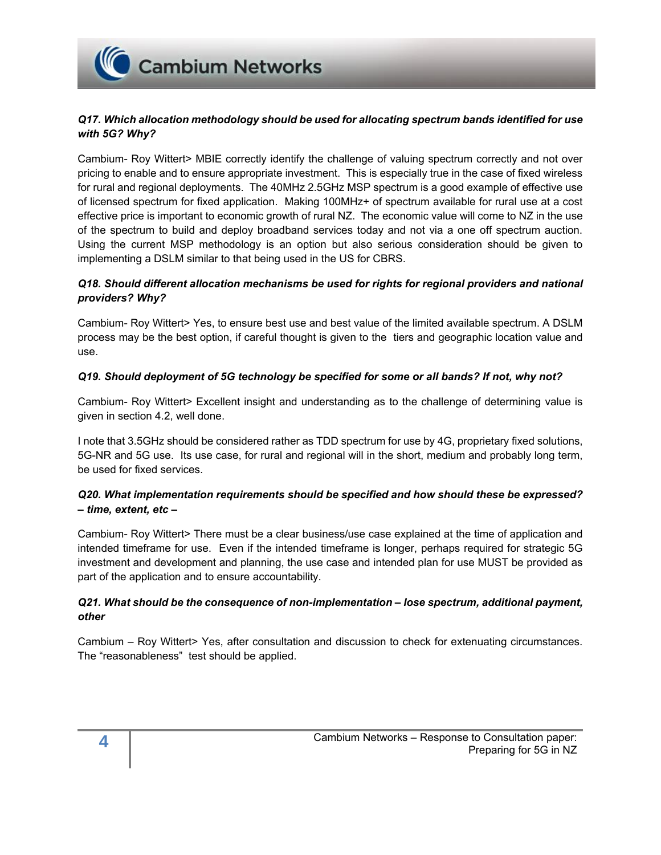**Cambium Networks** 

# *Q17. Which allocation methodology should be used for allocating spectrum bands identified for use with 5G? Why?*

Cambium- Roy Wittert> MBIE correctly identify the challenge of valuing spectrum correctly and not over pricing to enable and to ensure appropriate investment. This is especially true in the case of fixed wireless for rural and regional deployments. The 40MHz 2.5GHz MSP spectrum is a good example of effective use of licensed spectrum for fixed application. Making 100MHz+ of spectrum available for rural use at a cost effective price is important to economic growth of rural NZ. The economic value will come to NZ in the use of the spectrum to build and deploy broadband services today and not via a one off spectrum auction. Using the current MSP methodology is an option but also serious consideration should be given to implementing a DSLM similar to that being used in the US for CBRS.

# *Q18. Should different allocation mechanisms be used for rights for regional providers and national providers? Why?*

Cambium- Roy Wittert> Yes, to ensure best use and best value of the limited available spectrum. A DSLM process may be the best option, if careful thought is given to the tiers and geographic location value and use.

# *Q19. Should deployment of 5G technology be specified for some or all bands? If not, why not?*

Cambium- Roy Wittert> Excellent insight and understanding as to the challenge of determining value is given in section 4.2, well done.

I note that 3.5GHz should be considered rather as TDD spectrum for use by 4G, proprietary fixed solutions, 5G-NR and 5G use. Its use case, for rural and regional will in the short, medium and probably long term, be used for fixed services.

# *Q20. What implementation requirements should be specified and how should these be expressed? – time, extent, etc –*

Cambium- Roy Wittert> There must be a clear business/use case explained at the time of application and intended timeframe for use. Even if the intended timeframe is longer, perhaps required for strategic 5G investment and development and planning, the use case and intended plan for use MUST be provided as part of the application and to ensure accountability.

# *Q21. What should be the consequence of non-implementation – lose spectrum, additional payment, other*

Cambium – Roy Wittert> Yes, after consultation and discussion to check for extenuating circumstances. The "reasonableness" test should be applied.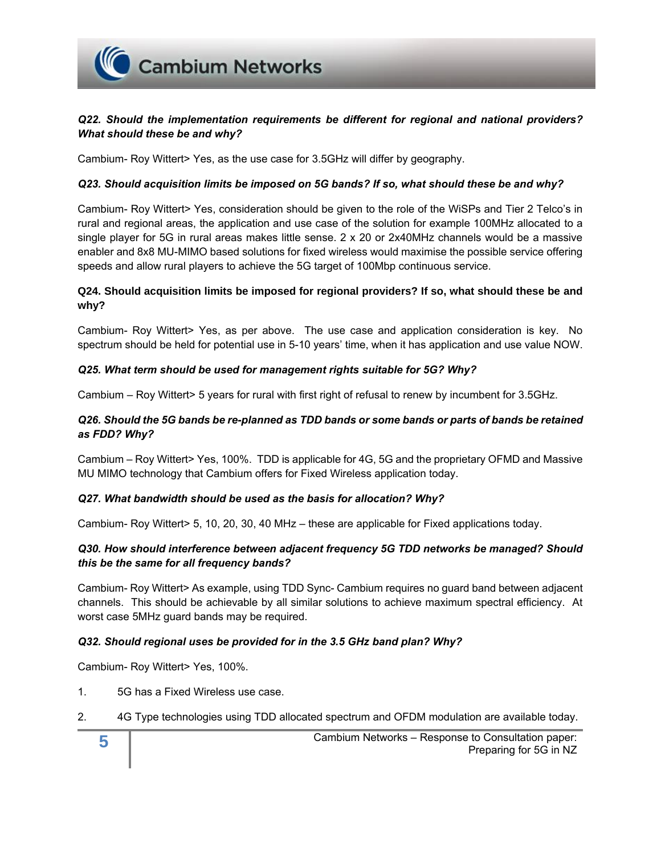

# *Q22. Should the implementation requirements be different for regional and national providers? What should these be and why?*

Cambium- Roy Wittert> Yes, as the use case for 3.5GHz will differ by geography.

#### *Q23. Should acquisition limits be imposed on 5G bands? If so, what should these be and why?*

Cambium- Roy Wittert> Yes, consideration should be given to the role of the WiSPs and Tier 2 Telco's in rural and regional areas, the application and use case of the solution for example 100MHz allocated to a single player for 5G in rural areas makes little sense. 2 x 20 or 2x40MHz channels would be a massive enabler and 8x8 MU-MIMO based solutions for fixed wireless would maximise the possible service offering speeds and allow rural players to achieve the 5G target of 100Mbp continuous service.

### **Q24. Should acquisition limits be imposed for regional providers? If so, what should these be and why?**

Cambium- Roy Wittert> Yes, as per above. The use case and application consideration is key. No spectrum should be held for potential use in 5-10 years' time, when it has application and use value NOW.

#### *Q25. What term should be used for management rights suitable for 5G? Why?*

Cambium – Roy Wittert> 5 years for rural with first right of refusal to renew by incumbent for 3.5GHz.

### *Q26. Should the 5G bands be re-planned as TDD bands or some bands or parts of bands be retained as FDD? Why?*

Cambium – Roy Wittert> Yes, 100%. TDD is applicable for 4G, 5G and the proprietary OFMD and Massive MU MIMO technology that Cambium offers for Fixed Wireless application today.

#### *Q27. What bandwidth should be used as the basis for allocation? Why?*

Cambium- Roy Wittert> 5, 10, 20, 30, 40 MHz – these are applicable for Fixed applications today.

### *Q30. How should interference between adjacent frequency 5G TDD networks be managed? Should this be the same for all frequency bands?*

Cambium- Roy Wittert> As example, using TDD Sync- Cambium requires no guard band between adjacent channels. This should be achievable by all similar solutions to achieve maximum spectral efficiency. At worst case 5MHz guard bands may be required.

### *Q32. Should regional uses be provided for in the 3.5 GHz band plan? Why?*

Cambium- Roy Wittert> Yes, 100%.

- 1. 5G has a Fixed Wireless use case.
- 2. 4G Type technologies using TDD allocated spectrum and OFDM modulation are available today.